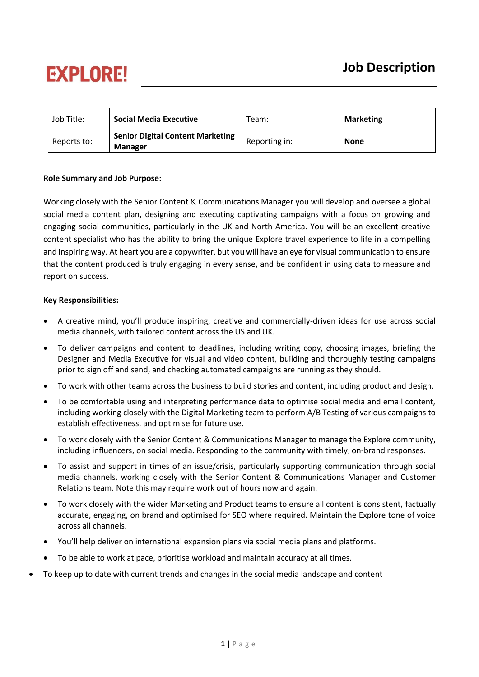# **EXPLORE!**

| Job Title:  | <b>Social Media Executive</b>                             | Team:         | <b>Marketing</b> |
|-------------|-----------------------------------------------------------|---------------|------------------|
| Reports to: | <b>Senior Digital Content Marketing</b><br><b>Manager</b> | Reporting in: | <b>None</b>      |

### **Role Summary and Job Purpose:**

Working closely with the Senior Content & Communications Manager you will develop and oversee a global social media content plan, designing and executing captivating campaigns with a focus on growing and engaging social communities, particularly in the UK and North America. You will be an excellent creative content specialist who has the ability to bring the unique Explore travel experience to life in a compelling and inspiring way. At heart you are a copywriter, but you will have an eye for visual communication to ensure that the content produced is truly engaging in every sense, and be confident in using data to measure and report on success.

### **Key Responsibilities:**

- A creative mind, you'll produce inspiring, creative and commercially-driven ideas for use across social media channels, with tailored content across the US and UK.
- To deliver campaigns and content to deadlines, including writing copy, choosing images, briefing the Designer and Media Executive for visual and video content, building and thoroughly testing campaigns prior to sign off and send, and checking automated campaigns are running as they should.
- To work with other teams across the business to build stories and content, including product and design.
- To be comfortable using and interpreting performance data to optimise social media and email content, including working closely with the Digital Marketing team to perform A/B Testing of various campaigns to establish effectiveness, and optimise for future use.
- To work closely with the Senior Content & Communications Manager to manage the Explore community, including influencers, on social media. Responding to the community with timely, on-brand responses.
- To assist and support in times of an issue/crisis, particularly supporting communication through social media channels, working closely with the Senior Content & Communications Manager and Customer Relations team. Note this may require work out of hours now and again.
- To work closely with the wider Marketing and Product teams to ensure all content is consistent, factually accurate, engaging, on brand and optimised for SEO where required. Maintain the Explore tone of voice across all channels.
- You'll help deliver on international expansion plans via social media plans and platforms.
- To be able to work at pace, prioritise workload and maintain accuracy at all times.
- To keep up to date with current trends and changes in the social media landscape and content